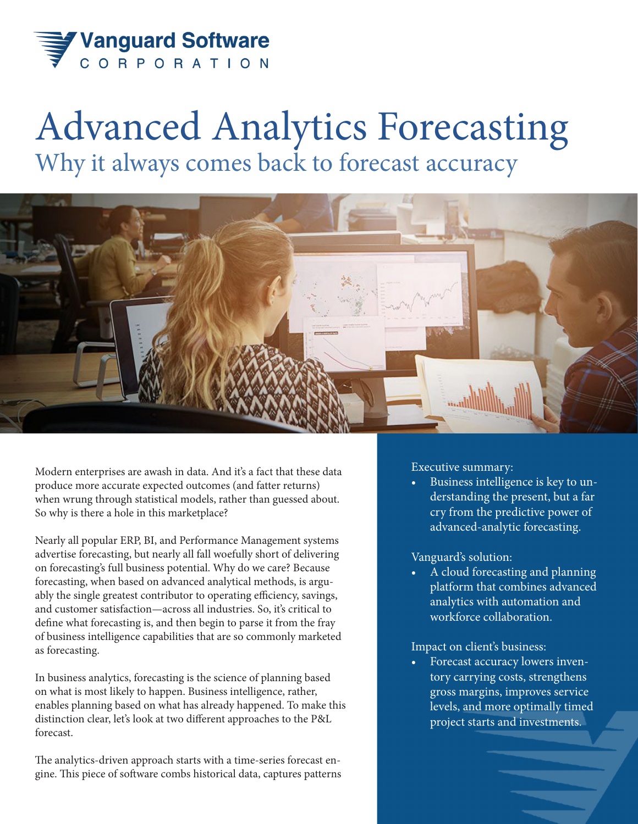

## Advanced Analytics Forecasting Why it always comes back to forecast accuracy



Modern enterprises are awash in data. And it's a fact that these data produce more accurate expected outcomes (and fatter returns) when wrung through statistical models, rather than guessed about. So why is there a hole in this marketplace?

Nearly all popular ERP, BI, and Performance Management systems advertise forecasting, but nearly all fall woefully short of delivering on forecasting's full business potential. Why do we care? Because forecasting, when based on advanced analytical methods, is arguably the single greatest contributor to operating efficiency, savings, and customer satisfaction—across all industries. So, it's critical to define what forecasting is, and then begin to parse it from the fray of business intelligence capabilities that are so commonly marketed as forecasting.

In business analytics, forecasting is the science of planning based on what is most likely to happen. Business intelligence, rather, enables planning based on what has already happened. To make this distinction clear, let's look at two different approaches to the P&L forecast.

The analytics-driven approach starts with a time-series forecast engine. This piece of software combs historical data, captures patterns Executive summary:

• Business intelligence is key to understanding the present, but a far cry from the predictive power of advanced-analytic forecasting.

## Vanguard's solution:

• A cloud forecasting and planning platform that combines advanced analytics with automation and workforce collaboration.

## Impact on client's business:

• Forecast accuracy lowers inventory carrying costs, strengthens gross margins, improves service levels, and more optimally timed project starts and investments.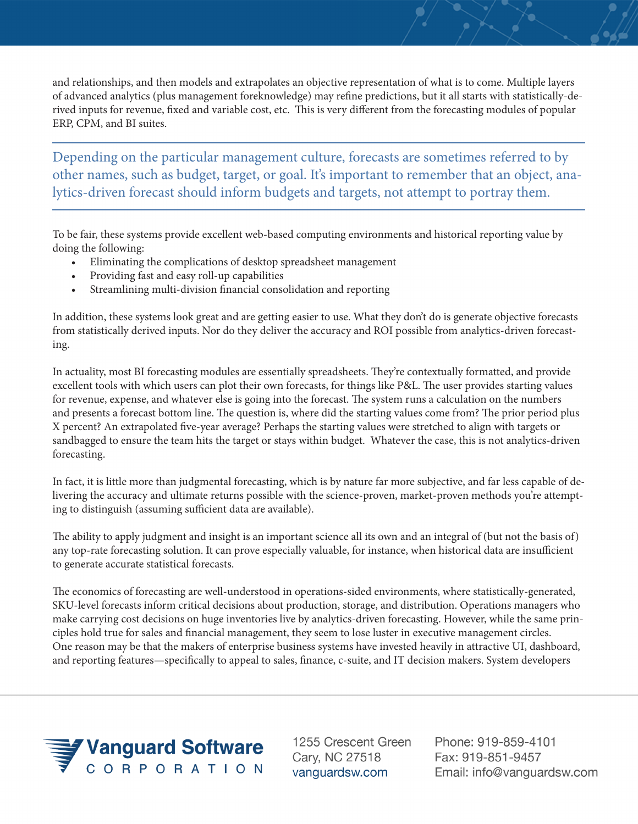and relationships, and then models and extrapolates an objective representation of what is to come. Multiple layers of advanced analytics (plus management foreknowledge) may refine predictions, but it all starts with statistically-derived inputs for revenue, fixed and variable cost, etc. This is very different from the forecasting modules of popular ERP, CPM, and BI suites.

Depending on the particular management culture, forecasts are sometimes referred to by other names, such as budget, target, or goal. It's important to remember that an object, analytics-driven forecast should inform budgets and targets, not attempt to portray them.

To be fair, these systems provide excellent web-based computing environments and historical reporting value by doing the following:

- Eliminating the complications of desktop spreadsheet management
- Providing fast and easy roll-up capabilities
- Streamlining multi-division financial consolidation and reporting

In addition, these systems look great and are getting easier to use. What they don't do is generate objective forecasts from statistically derived inputs. Nor do they deliver the accuracy and ROI possible from analytics-driven forecasting.

In actuality, most BI forecasting modules are essentially spreadsheets. They're contextually formatted, and provide excellent tools with which users can plot their own forecasts, for things like P&L. The user provides starting values for revenue, expense, and whatever else is going into the forecast. The system runs a calculation on the numbers and presents a forecast bottom line. The question is, where did the starting values come from? The prior period plus X percent? An extrapolated five-year average? Perhaps the starting values were stretched to align with targets or sandbagged to ensure the team hits the target or stays within budget. Whatever the case, this is not analytics-driven forecasting.

In fact, it is little more than judgmental forecasting, which is by nature far more subjective, and far less capable of delivering the accuracy and ultimate returns possible with the science-proven, market-proven methods you're attempting to distinguish (assuming sufficient data are available).

The ability to apply judgment and insight is an important science all its own and an integral of (but not the basis of) any top-rate forecasting solution. It can prove especially valuable, for instance, when historical data are insufficient to generate accurate statistical forecasts.

The economics of forecasting are well-understood in operations-sided environments, where statistically-generated, SKU-level forecasts inform critical decisions about production, storage, and distribution. Operations managers who make carrying cost decisions on huge inventories live by analytics-driven forecasting. However, while the same principles hold true for sales and financial management, they seem to lose luster in executive management circles. One reason may be that the makers of enterprise business systems have invested heavily in attractive UI, dashboard, and reporting features—specifically to appeal to sales, finance, c-suite, and IT decision makers. System developers



1255 Crescent Green Cary, NC 27518 vanguardsw.com

Phone: 919-859-4101 Fax: 919-851-9457 Email: info@vanguardsw.com